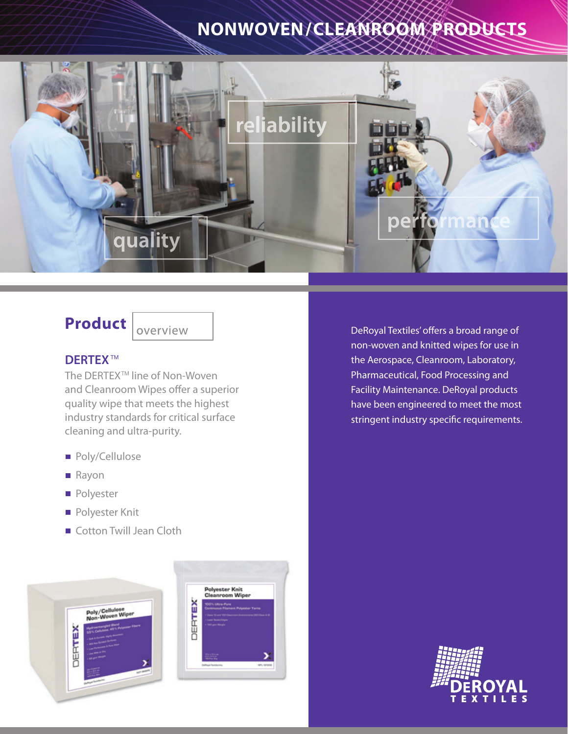# **NONWOVEN /CLEANROOM PRODUCTS**



## **Product**

overview

### **DERTEX**

The DERTEX<sup>™</sup> line of Non-Woven and Cleanroom Wipes offer a superior quality wipe that meets the highest industry standards for critical surface cleaning and ultra-purity.

- Poly/Cellulose
- Rayon
- **Polyester**
- **Polyester Knit**
- Cotton Twill Jean Cloth



Polyester Knit<br>Cleanroom Wiper

DeRoyal Textiles' offers a broad range of non-woven and knitted wipes for use in the Aerospace, Cleanroom, Laboratory, Pharmaceutical, Food Processing and Facility Maintenance. DeRoyal products have been engineered to meet the most stringent industry specific requirements.